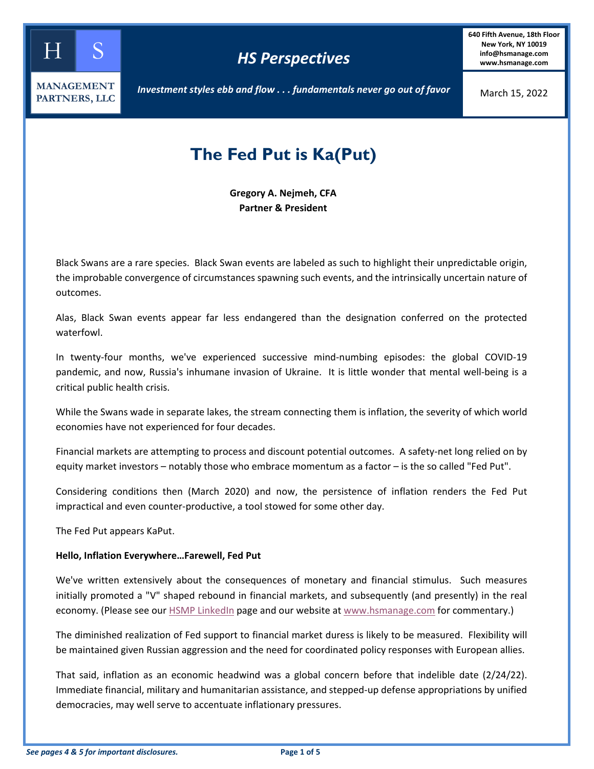

**640 Fifth Avenue, 18th Floor New York, NY 10019 info@hsmanage.com www.hsmanage.com**

March 15, 2022

*Investment styles ebb and flow . . . fundamentals never go out of favor*

# **The Fed Put is Ka(Put)**

**Gregory A. Nejmeh, CFA Partner & President**

Black Swans are a rare species. Black Swan events are labeled as such to highlight their unpredictable origin, the improbable convergence of circumstances spawning such events, and the intrinsically uncertain nature of outcomes.

Alas, Black Swan events appear far less endangered than the designation conferred on the protected waterfowl.

In twenty-four months, we've experienced successive mind-numbing episodes: the global COVID-19 pandemic, and now, Russia's inhumane invasion of Ukraine. It is little wonder that mental well-being is a critical public health crisis.

While the Swans wade in separate lakes, the stream connecting them is inflation, the severity of which world economies have not experienced for four decades.

Financial markets are attempting to process and discount potential outcomes. A safety-net long relied on by equity market investors – notably those who embrace momentum as a factor – is the so called "Fed Put".

Considering conditions then (March 2020) and now, the persistence of inflation renders the Fed Put impractical and even counter-productive, a tool stowed for some other day.

The Fed Put appears KaPut.

## **Hello, Inflation Everywhere…Farewell, Fed Put**

We've written extensively about the consequences of monetary and financial stimulus. Such measures initially promoted a "V" shaped rebound in financial markets, and subsequently (and presently) in the real economy. (Please see our [HSMP LinkedIn](https://www.linkedin.com/company/hs-management-partners-llc/mycompany/?viewAsMember=true) page and our website at [www.hsmanage.com](https://www.hsmanage.com/blog/) for commentary.)

The diminished realization of Fed support to financial market duress is likely to be measured. Flexibility will be maintained given Russian aggression and the need for coordinated policy responses with European allies.

That said, inflation as an economic headwind was a global concern before that indelible date (2/24/22). Immediate financial, military and humanitarian assistance, and stepped-up defense appropriations by unified democracies, may well serve to accentuate inflationary pressures.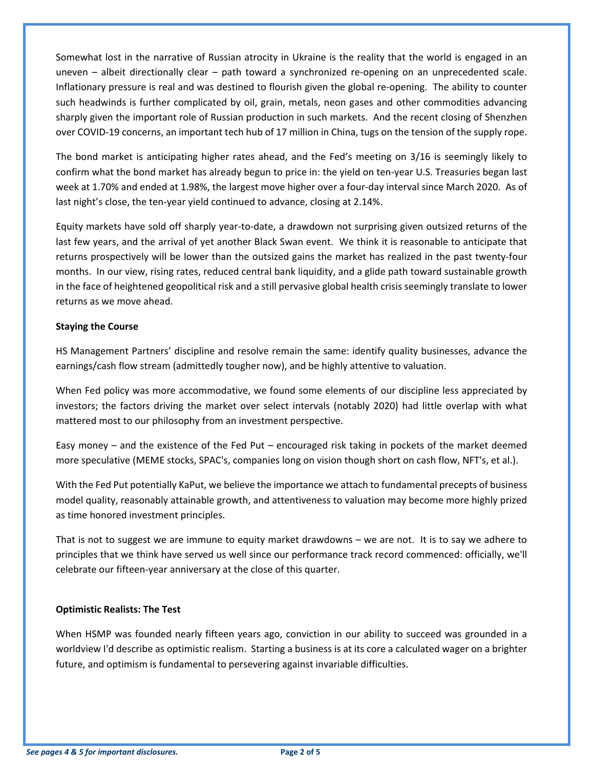Somewhat lost in the narrative of Russian atrocity in Ukraine is the reality that the world is engaged in an uneven – albeit directionally clear – path toward a synchronized re-opening on an unprecedented scale. Inflationary pressure is real and was destined to flourish given the global re-opening. The ability to counter such headwinds is further complicated by oil, grain, metals, neon gases and other commodities advancing sharply given the important role of Russian production in such markets. And the recent closing of Shenzhen over COVID-19 concerns, an important tech hub of 17 million in China, tugs on the tension of the supply rope.

The bond market is anticipating higher rates ahead, and the Fed's meeting on 3/16 is seemingly likely to confirm what the bond market has already begun to price in: the yield on ten-year U.S. Treasuries began last week at 1.70% and ended at 1.98%, the largest move higher over a four-day interval since March 2020. As of last night's close, the ten-year yield continued to advance, closing at 2.14%.

Equity markets have sold off sharply year-to-date, a drawdown not surprising given outsized returns of the last few years, and the arrival of yet another Black Swan event. We think it is reasonable to anticipate that returns prospectively will be lower than the outsized gains the market has realized in the past twenty-four months. In our view, rising rates, reduced central bank liquidity, and a glide path toward sustainable growth in the face of heightened geopolitical risk and a still pervasive global health crisis seemingly translate to lower returns as we move ahead.

## **Staying the Course**

HS Management Partners' discipline and resolve remain the same: identify quality businesses, advance the earnings/cash flow stream (admittedly tougher now), and be highly attentive to valuation.

When Fed policy was more accommodative, we found some elements of our discipline less appreciated by investors; the factors driving the market over select intervals (notably 2020) had little overlap with what mattered most to our philosophy from an investment perspective.

Easy money – and the existence of the Fed Put – encouraged risk taking in pockets of the market deemed more speculative (MEME stocks, SPAC's, companies long on vision though short on cash flow, NFT's, et al.).

With the Fed Put potentially KaPut, we believe the importance we attach to fundamental precepts of business model quality, reasonably attainable growth, and attentiveness to valuation may become more highly prized as time honored investment principles.

That is not to suggest we are immune to equity market drawdowns – we are not. It is to say we adhere to principles that we think have served us well since our performance track record commenced: officially, we'll celebrate our fifteen-year anniversary at the close of this quarter.

## **Optimistic Realists: The Test**

When HSMP was founded nearly fifteen years ago, conviction in our ability to succeed was grounded in a worldview I'd describe as optimistic realism. Starting a business is at its core a calculated wager on a brighter future, and optimism is fundamental to persevering against invariable difficulties.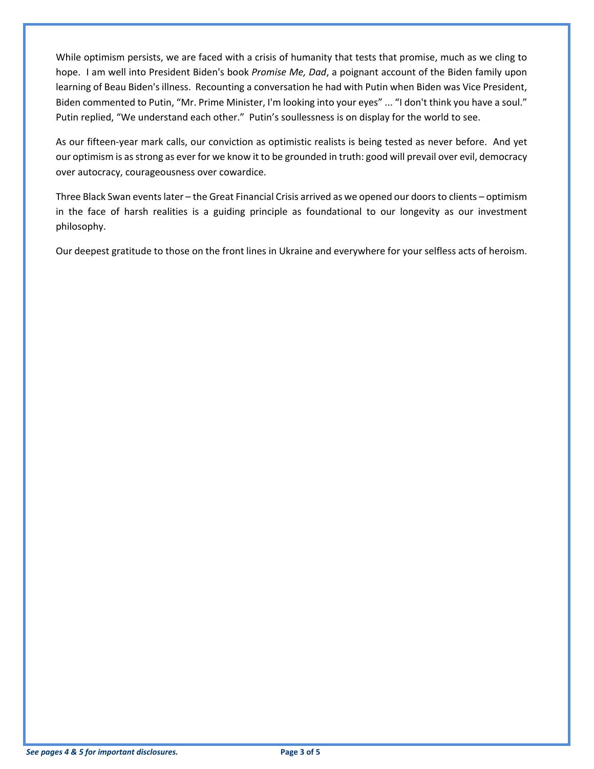While optimism persists, we are faced with a crisis of humanity that tests that promise, much as we cling to hope. I am well into President Biden's book *Promise Me, Dad*, a poignant account of the Biden family upon learning of Beau Biden's illness. Recounting a conversation he had with Putin when Biden was Vice President, Biden commented to Putin, "Mr. Prime Minister, I'm looking into your eyes" ... "I don't think you have a soul." Putin replied, "We understand each other." Putin's soullessness is on display for the world to see.

As our fifteen-year mark calls, our conviction as optimistic realists is being tested as never before. And yet our optimism is as strong as ever for we know it to be grounded in truth: good will prevail over evil, democracy over autocracy, courageousness over cowardice.

Three Black Swan events later – the Great Financial Crisis arrived as we opened our doors to clients – optimism in the face of harsh realities is a guiding principle as foundational to our longevity as our investment philosophy.

Our deepest gratitude to those on the front lines in Ukraine and everywhere for your selfless acts of heroism.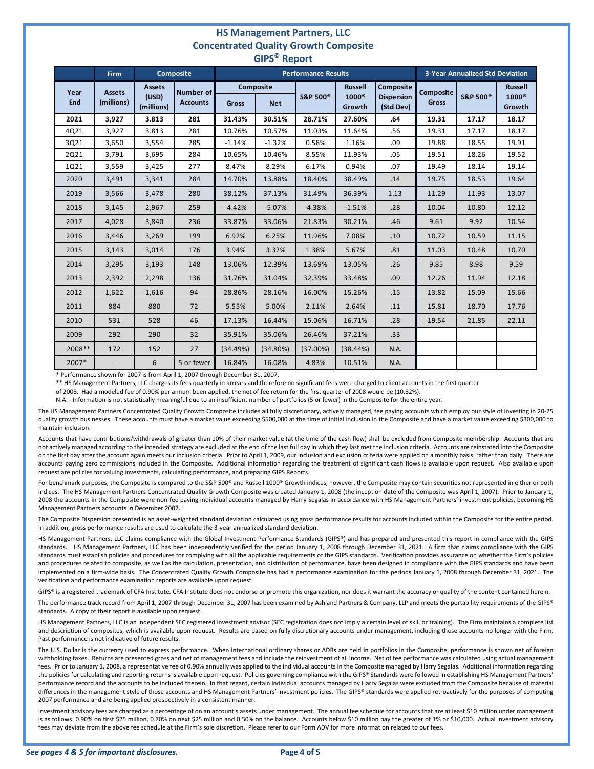#### **HS Management Partners, LLC Concentrated Quality Growth Composite GIPS© Report**

| ----<br>$\cdots \cdots$ |                             |                                      |                                     |                            |            |                      |                                          |                                             |                                        |                     |                                               |
|-------------------------|-----------------------------|--------------------------------------|-------------------------------------|----------------------------|------------|----------------------|------------------------------------------|---------------------------------------------|----------------------------------------|---------------------|-----------------------------------------------|
|                         | <b>Firm</b>                 |                                      | <b>Composite</b>                    | <b>Performance Results</b> |            |                      |                                          |                                             | <b>3-Year Annualized Std Deviation</b> |                     |                                               |
| Year<br>End             | <b>Assets</b><br>(millions) | <b>Assets</b><br>(USD)<br>(millions) | <b>Number of</b><br><b>Accounts</b> | <b>Composite</b><br>Gross  | <b>Net</b> | S&P 500 <sup>®</sup> | <b>Russell</b><br>$1000^\circ$<br>Growth | Composite<br><b>Dispersion</b><br>(Std Dev) | Composite<br><b>Gross</b>              | <b>S&amp;P 500®</b> | <b>Russell</b><br>1000 <sup>®</sup><br>Growth |
| 2021                    | 3,927                       | 3.813                                | 281                                 | 31.43%                     | 30.51%     | 28.71%               | 27.60%                                   | .64                                         | 19.31                                  | 17.17               | 18.17                                         |
| 4Q21                    | 3,927                       | 3.813                                | 281                                 | 10.76%                     | 10.57%     | 11.03%               | 11.64%                                   | .56                                         | 19.31                                  | 17.17               | 18.17                                         |
| 3Q21                    | 3,650                       | 3,554                                | 285                                 | $-1.14%$                   | $-1.32%$   | 0.58%                | 1.16%                                    | .09                                         | 19.88                                  | 18.55               | 19.91                                         |
| 2Q21                    | 3,791                       | 3,695                                | 284                                 | 10.65%                     | 10.46%     | 8.55%                | 11.93%                                   | .05                                         | 19.51                                  | 18.26               | 19.52                                         |
| 1Q21                    | 3,559                       | 3,425                                | 277                                 | 8.47%                      | 8.29%      | 6.17%                | 0.94%                                    | .07                                         | 19.49                                  | 18.14               | 19.14                                         |
| 2020                    | 3,491                       | 3,341                                | 284                                 | 14.70%                     | 13.88%     | 18.40%               | 38.49%                                   | .14                                         | 19.75                                  | 18.53               | 19.64                                         |
| 2019                    | 3,566                       | 3,478                                | 280                                 | 38.12%                     | 37.13%     | 31.49%               | 36.39%                                   | 1.13                                        | 11.29                                  | 11.93               | 13.07                                         |
| 2018                    | 3,145                       | 2,967                                | 259                                 | $-4.42%$                   | $-5.07%$   | $-4.38%$             | $-1.51%$                                 | .28                                         | 10.04                                  | 10.80               | 12.12                                         |
| 2017                    | 4,028                       | 3,840                                | 236                                 | 33.87%                     | 33.06%     | 21.83%               | 30.21%                                   | .46                                         | 9.61                                   | 9.92                | 10.54                                         |
| 2016                    | 3,446                       | 3,269                                | 199                                 | 6.92%                      | 6.25%      | 11.96%               | 7.08%                                    | .10                                         | 10.72                                  | 10.59               | 11.15                                         |
| 2015                    | 3,143                       | 3,014                                | 176                                 | 3.94%                      | 3.32%      | 1.38%                | 5.67%                                    | .81                                         | 11.03                                  | 10.48               | 10.70                                         |
| 2014                    | 3,295                       | 3,193                                | 148                                 | 13.06%                     | 12.39%     | 13.69%               | 13.05%                                   | .26                                         | 9.85                                   | 8.98                | 9.59                                          |
| 2013                    | 2,392                       | 2,298                                | 136                                 | 31.76%                     | 31.04%     | 32.39%               | 33.48%                                   | .09                                         | 12.26                                  | 11.94               | 12.18                                         |
| 2012                    | 1,622                       | 1,616                                | 94                                  | 28.86%                     | 28.16%     | 16.00%               | 15.26%                                   | .15                                         | 13.82                                  | 15.09               | 15.66                                         |
| 2011                    | 884                         | 880                                  | 72                                  | 5.55%                      | 5.00%      | 2.11%                | 2.64%                                    | .11                                         | 15.81                                  | 18.70               | 17.76                                         |
| 2010                    | 531                         | 528                                  | 46                                  | 17.13%                     | 16.44%     | 15.06%               | 16.71%                                   | .28                                         | 19.54                                  | 21.85               | 22.11                                         |
| 2009                    | 292                         | 290                                  | 32                                  | 35.91%                     | 35.06%     | 26.46%               | 37.21%                                   | .33                                         |                                        |                     |                                               |
| 2008**                  | 172                         | 152                                  | 27                                  | (34.49%)                   | (34.80%)   | (37.00%)             | (38.44%)                                 | N.A.                                        |                                        |                     |                                               |
| 2007*                   |                             | 6                                    | 5 or fewer                          | 16.84%                     | 16.08%     | 4.83%                | 10.51%                                   | N.A.                                        |                                        |                     |                                               |

\* Performance shown for 2007 is from April 1, 2007 through December 31, 2007.

\*\* HS Management Partners, LLC charges its fees quarterly in arrears and therefore no significant fees were charged to client accounts in the first quarter

of 2008. Had a modeled fee of 0.90% per annum been applied, the net of fee return for the first quarter of 2008 would be (10.82%).

N.A. - Information is not statistically meaningful due to an insufficient number of portfolios (5 or fewer) in the Composite for the entire year.

The HS Management Partners Concentrated Quality Growth Composite includes all fully discretionary, actively managed, fee paying accounts which employ our style of investing in 20-25 quality growth businesses. These accounts must have a market value exceeding \$500,000 at the time of initial inclusion in the Composite and have a market value exceeding \$300,000 to maintain inclusion.

Accounts that have contributions/withdrawals of greater than 10% of their market value (at the time of the cash flow) shall be excluded from Composite membership. Accounts that are not actively managed according to the intended strategy are excluded at the end of the last full day in which they last met the inclusion criteria. Accounts are reinstated into the Composite on the first day after the account again meets our inclusion criteria. Prior to April 1, 2009, our inclusion and exclusion criteria were applied on a monthly basis, rather than daily. There are accounts paying zero commissions included in the Composite. Additional information regarding the treatment of significant cash flows is available upon request. Also available upon request are policies for valuing investments, calculating performance, and preparing GIPS Reports.

For benchmark purposes, the Composite is compared to the S&P 500® and Russell 1000® Growth indices, however, the Composite may contain securities not represented in either or both indices. The HS Management Partners Concentrated Quality Growth Composite was created January 1, 2008 (the inception date of the Composite was April 1, 2007). Prior to January 1, 2008 the accounts in the Composite were non-fee paying individual accounts managed by Harry Segalas in accordance with HS Management Partners' investment policies, becoming HS Management Partners accounts in December 2007.

The Composite Dispersion presented is an asset-weighted standard deviation calculated using gross performance results for accounts included within the Composite for the entire period. In addition, gross performance results are used to calculate the 3-year annualized standard deviation.

HS Management Partners, LLC claims compliance with the Global Investment Performance Standards (GIPS®) and has prepared and presented this report in compliance with the GIPS standards. HS Management Partners, LLC has been independently verified for the period January 1, 2008 through December 31, 2021. A firm that claims compliance with the GIPS standards must establish policies and procedures for complying with all the applicable requirements of the GIPS standards. Verification provides assurance on whether the Firm's policies and procedures related to composite, as well as the calculation, presentation, and distribution of performance, have been designed in compliance with the GIPS standards and have been implemented on a firm-wide basis. The Concentrated Quality Growth Composite has had a performance examination for the periods January 1, 2008 through December 31, 2021. The verification and performance examination reports are available upon request.

GIPS® is a registered trademark of CFA Institute. CFA Institute does not endorse or promote this organization, nor does it warrant the accuracy or quality of the content contained herein.

The performance track record from April 1, 2007 through December 31, 2007 has been examined by Ashland Partners & Company, LLP and meets the portability requirements of the GIPS® standards. A copy of their report is available upon request.

HS Management Partners, LLC is an independent SEC registered investment advisor (SEC registration does not imply a certain level of skill or training). The Firm maintains a complete list and description of composites, which is available upon request. Results are based on fully discretionary accounts under management, including those accounts no longer with the Firm. Past performance is not indicative of future results.

The U.S. Dollar is the currency used to express performance. When international ordinary shares or ADRs are held in portfolios in the Composite, performance is shown net of foreign withholding taxes. Returns are presented gross and net of management fees and include the reinvestment of all income. Net of fee performance was calculated using actual management fees. Prior to January 1, 2008, a representative fee of 0.90% annually was applied to the individual accounts in the Composite managed by Harry Segalas. Additional information regarding the policies for calculating and reporting returns is available upon request. Policies governing compliance with the GIPS® Standards were followed in establishing HS Management Partners' performance record and the accounts to be included therein. In that regard, certain individual accounts managed by Harry Segalas were excluded from the Composite because of material differences in the management style of those accounts and HS Management Partners' investment policies. The GIPS® standards were applied retroactively for the purposes of computing 2007 performance and are being applied prospectively in a consistent manner.

Investment advisory fees are charged as a percentage of on an account's assets under management. The annual fee schedule for accounts that are at least \$10 million under management is as follows: 0.90% on first \$25 million, 0.70% on next \$25 million and 0.50% on the balance. Accounts below \$10 million pay the greater of 1% or \$10,000. Actual investment advisory fees may deviate from the above fee schedule at the Firm's sole discretion. Please refer to our Form ADV for more information related to our fees.